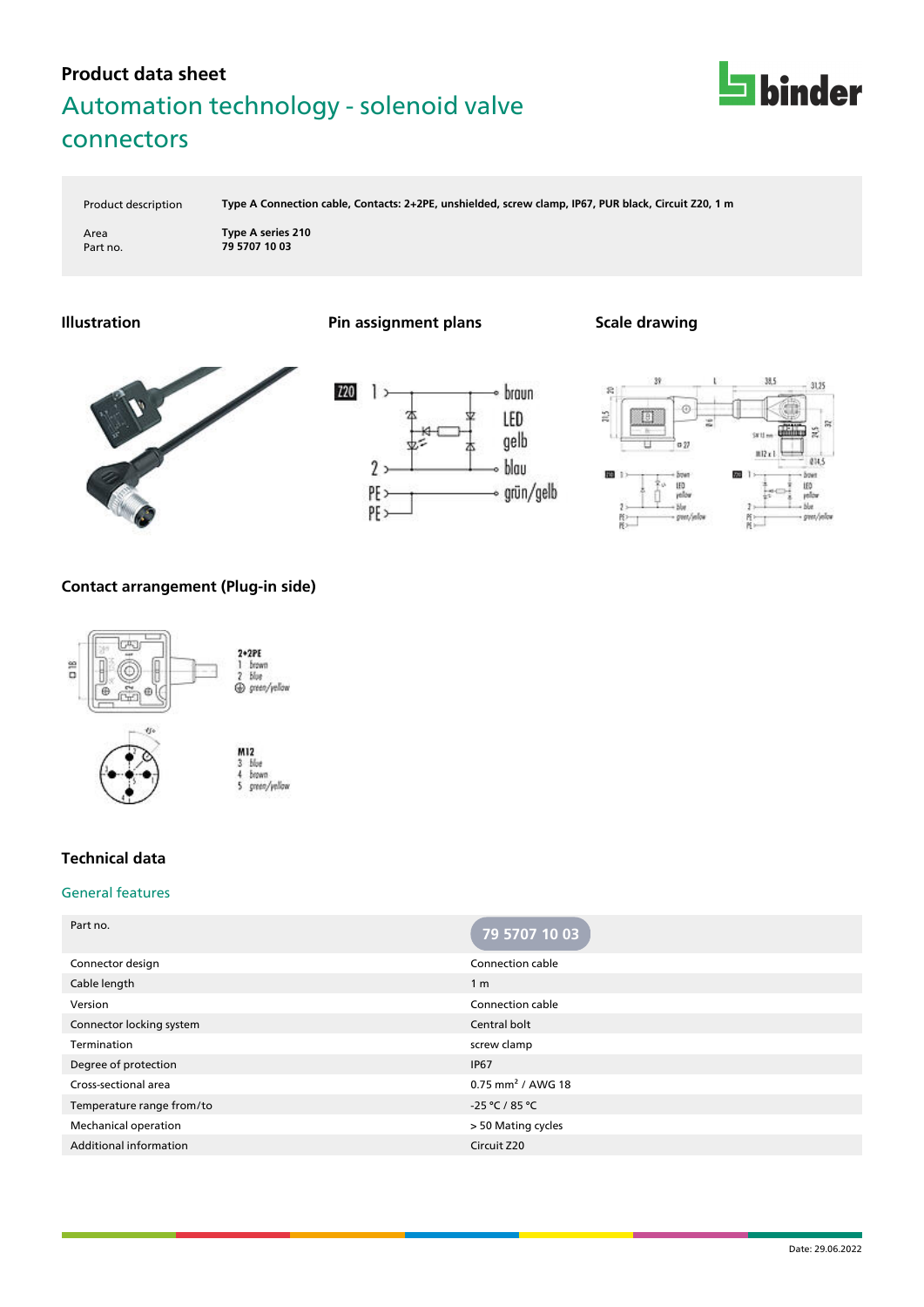

Product description **Type A Connection cable, Contacts: 2+2PE, unshielded, screw clamp, IP67, PUR black, Circuit Z20, 1 m**

Area **Type A series 210** Part no. **79 5707 10 03**









## **Contact arrangement (Plug-in side)**





## **Technical data**

### General features

| 79 5707 10 03                   |
|---------------------------------|
| Connection cable                |
| 1 <sub>m</sub>                  |
| Connection cable                |
| Central bolt                    |
| screw clamp                     |
| <b>IP67</b>                     |
| $0.75$ mm <sup>2</sup> / AWG 18 |
| -25 °C / 85 °C                  |
| > 50 Mating cycles              |
| Circuit Z20                     |
|                                 |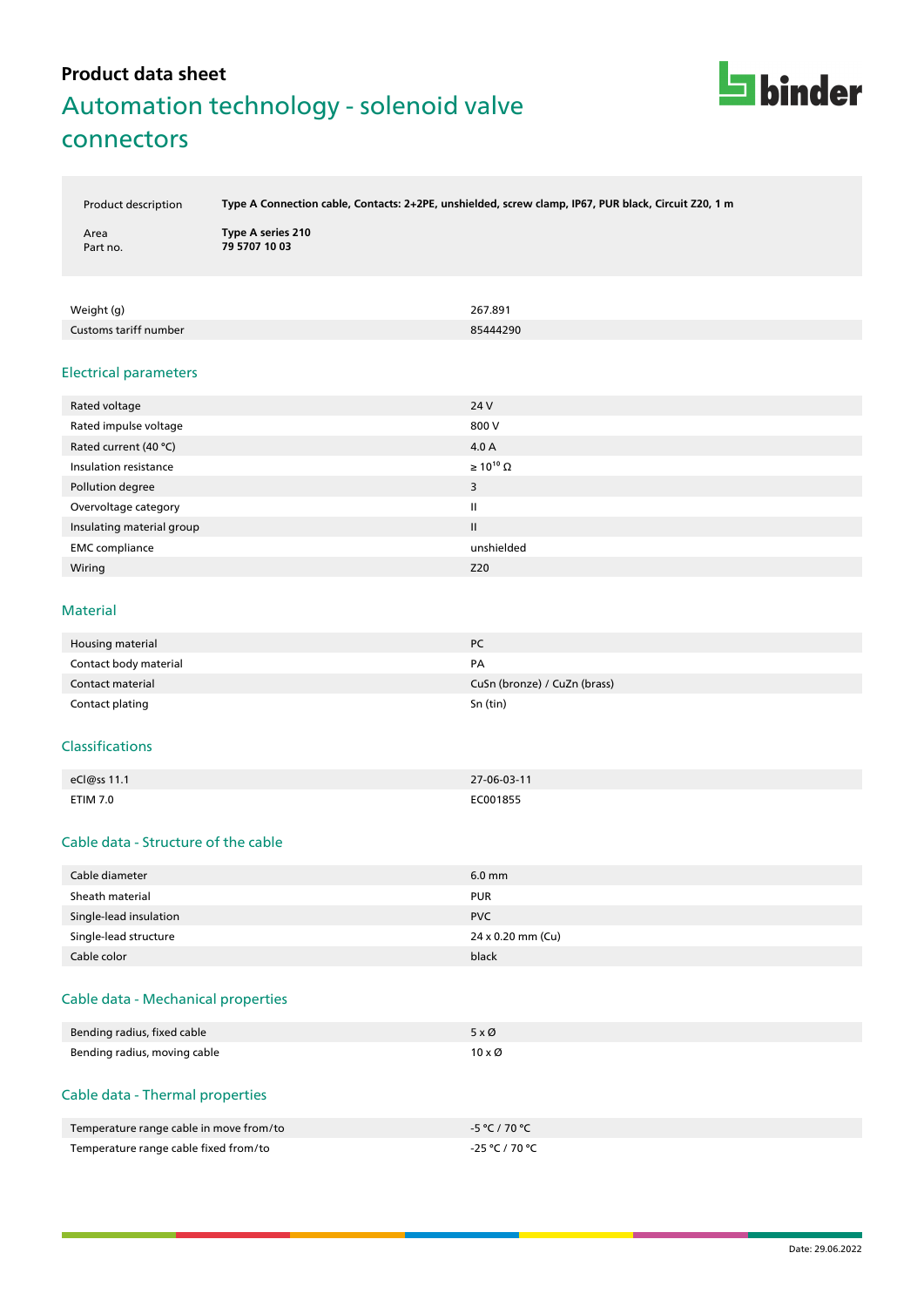

Product description **Type A Connection cable, Contacts: 2+2PE, unshielded, screw clamp, IP67, PUR black, Circuit Z20, 1 m**

| Area     |  |
|----------|--|
| Part no. |  |

**Type A series 210** Part no. **79 5707 10 03**

| Weight (g)            | 267.891  |
|-----------------------|----------|
| Customs tariff number | 85444290 |

#### Electrical parameters

| Rated voltage             | 24 V                  |
|---------------------------|-----------------------|
| Rated impulse voltage     | 800 V                 |
| Rated current (40 °C)     | 4.0 A                 |
| Insulation resistance     | $\geq 10^{10} \Omega$ |
| Pollution degree          | 3                     |
| Overvoltage category      | Ш                     |
| Insulating material group | $\mathbf{II}$         |
| <b>EMC</b> compliance     | unshielded            |
| Wiring                    | Z20                   |

#### Material

| Housing material      | <b>PC</b>                    |
|-----------------------|------------------------------|
| Contact body material | PA                           |
| Contact material      | CuSn (bronze) / CuZn (brass) |
| Contact plating       | Sn (tin)                     |

#### Classifications

| eCl@ss 11.1 | 27-06-03-11 |
|-------------|-------------|
| ETIM 7.0    | EC001855    |

### Cable data - Structure of the cable

| Cable diameter         | $6.0$ mm          |
|------------------------|-------------------|
| Sheath material        | <b>PUR</b>        |
| Single-lead insulation | <b>PVC</b>        |
| Single-lead structure  | 24 x 0.20 mm (Cu) |
| Cable color            | black             |

### Cable data - Mechanical properties

| Bending radius, fixed cable  | $5 \times \emptyset$  |
|------------------------------|-----------------------|
| Bending radius, moving cable | $10 \times \emptyset$ |

### Cable data - Thermal properties

| Temperature range cable in move from/to | -5 °C / 70 °C  |
|-----------------------------------------|----------------|
| Temperature range cable fixed from/to   | -25 °C / 70 °C |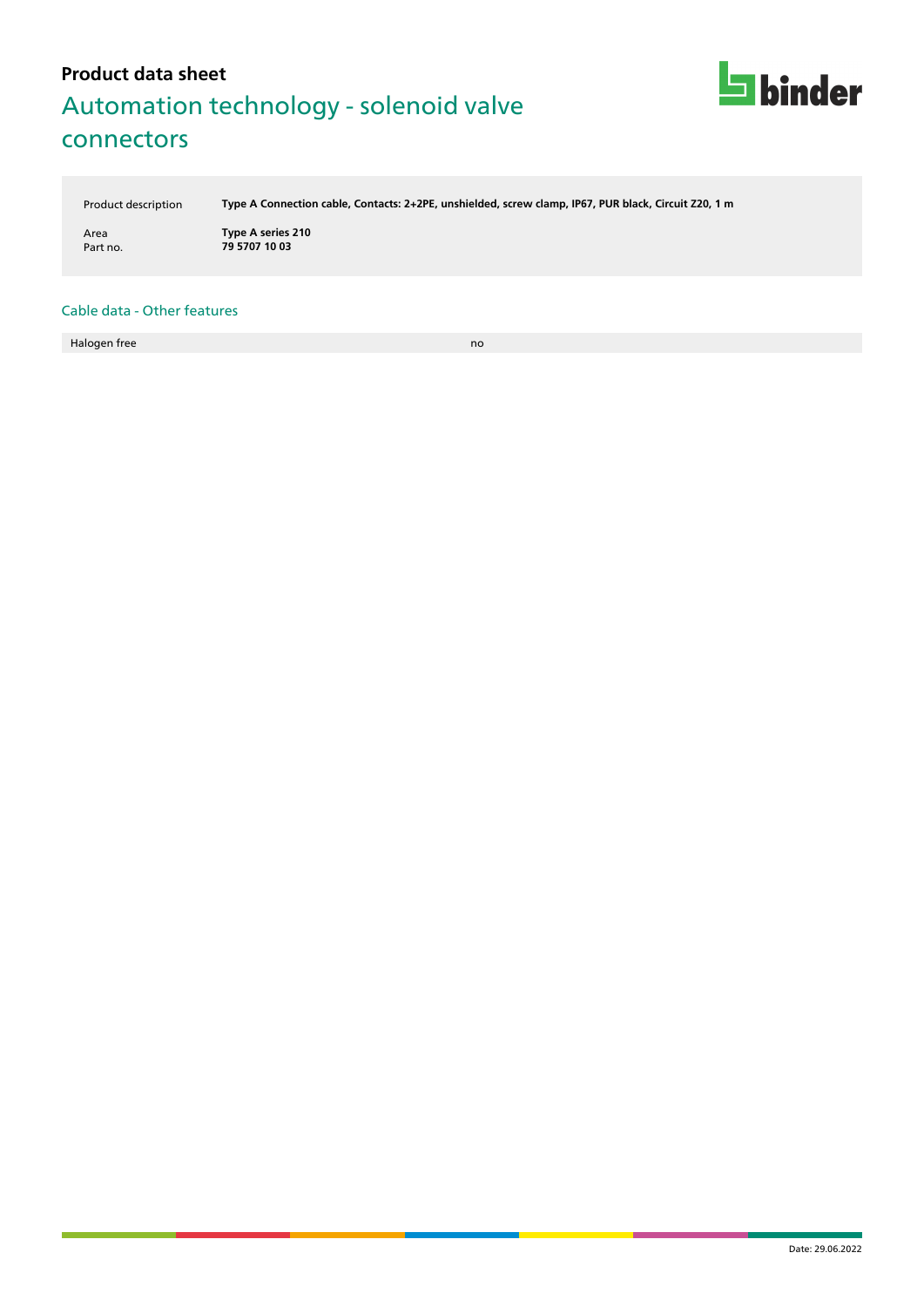

Product description **Type A Connection cable, Contacts: 2+2PE, unshielded, screw clamp, IP67, PUR black, Circuit Z20, 1 m**

Area **Type A series 210** Part no. **79 5707 10 03**

#### Cable data - Other features

Halogen free now a state of the state of the state of the state of the state of the state of the state of the state of the state of the state of the state of the state of the state of the state of the state of the state of